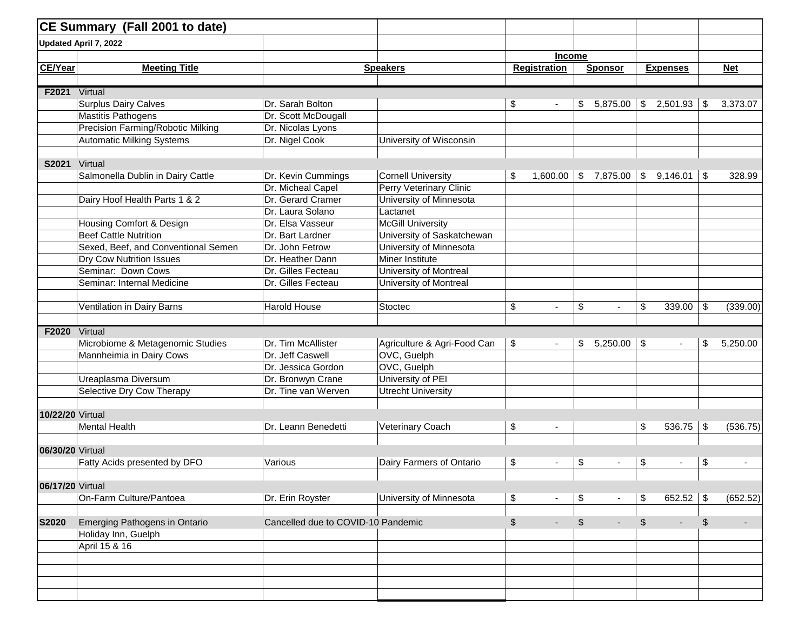|                  | CE Summary (Fall 2001 to date)      |                                    |                                |               |                          |                              |                           |                 |                           |            |
|------------------|-------------------------------------|------------------------------------|--------------------------------|---------------|--------------------------|------------------------------|---------------------------|-----------------|---------------------------|------------|
|                  | Updated April 7, 2022               |                                    |                                |               |                          |                              |                           |                 |                           |            |
|                  |                                     |                                    |                                |               | <b>Income</b>            |                              |                           |                 |                           |            |
| <b>CE/Year</b>   | <b>Meeting Title</b>                |                                    | <b>Speakers</b>                |               | <b>Registration</b>      | <b>Sponsor</b>               |                           | <b>Expenses</b> |                           | <b>Net</b> |
|                  |                                     |                                    |                                |               |                          |                              |                           |                 |                           |            |
| F2021            | Virtual                             |                                    |                                |               |                          |                              |                           |                 |                           |            |
|                  | Surplus Dairy Calves                | Dr. Sarah Bolton                   |                                | \$            |                          | \$<br>5,875.00               | \$                        | 2,501.93        | \$                        | 3,373.07   |
|                  | <b>Mastitis Pathogens</b>           | Dr. Scott McDougall                |                                |               |                          |                              |                           |                 |                           |            |
|                  | Precision Farming/Robotic Milking   | Dr. Nicolas Lyons                  |                                |               |                          |                              |                           |                 |                           |            |
|                  | <b>Automatic Milking Systems</b>    | Dr. Nigel Cook                     | University of Wisconsin        |               |                          |                              |                           |                 |                           |            |
|                  |                                     |                                    |                                |               |                          |                              |                           |                 |                           |            |
| S2021 Virtual    |                                     |                                    |                                |               |                          |                              |                           |                 |                           |            |
|                  | Salmonella Dublin in Dairy Cattle   | Dr. Kevin Cummings                 | <b>Cornell University</b>      | \$            | 1,600.00                 | $\vert $ \$ 7,875.00 $\vert$ |                           | $$9,146.01$ \\$ |                           | 328.99     |
|                  |                                     | Dr. Micheal Capel                  | <b>Perry Veterinary Clinic</b> |               |                          |                              |                           |                 |                           |            |
|                  | Dairy Hoof Health Parts 1 & 2       | Dr. Gerard Cramer                  | University of Minnesota        |               |                          |                              |                           |                 |                           |            |
|                  |                                     | Dr. Laura Solano                   | Lactanet                       |               |                          |                              |                           |                 |                           |            |
|                  | Housing Comfort & Design            | Dr. Elsa Vasseur                   | <b>McGill University</b>       |               |                          |                              |                           |                 |                           |            |
|                  | <b>Beef Cattle Nutrition</b>        | Dr. Bart Lardner                   | University of Saskatchewan     |               |                          |                              |                           |                 |                           |            |
|                  | Sexed, Beef, and Conventional Semen | Dr. John Fetrow                    | University of Minnesota        |               |                          |                              |                           |                 |                           |            |
|                  | Dry Cow Nutrition Issues            | Dr. Heather Dann                   | Miner Institute                |               |                          |                              |                           |                 |                           |            |
|                  | Seminar: Down Cows                  | Dr. Gilles Fecteau                 | University of Montreal         |               |                          |                              |                           |                 |                           |            |
|                  | Seminar: Internal Medicine          | Dr. Gilles Fecteau                 | University of Montreal         |               |                          |                              |                           |                 |                           |            |
|                  | Ventilation in Dairy Barns          | <b>Harold House</b>                | Stoctec                        | \$            | $\blacksquare$           | \$                           | \$                        | 339.00          | \$                        | (339.00)   |
|                  |                                     |                                    |                                |               |                          |                              |                           |                 |                           |            |
| F2020            | Virtual                             |                                    |                                |               |                          |                              |                           |                 |                           |            |
|                  | Microbiome & Metagenomic Studies    | Dr. Tim McAllister                 | Agriculture & Agri-Food Can    | \$            |                          | \$<br>5,250.00               | $\sqrt[6]{\frac{1}{2}}$   | $\blacksquare$  | \$                        | 5,250.00   |
|                  | Mannheimia in Dairy Cows            | Dr. Jeff Caswell                   | OVC, Guelph                    |               |                          |                              |                           |                 |                           |            |
|                  |                                     | Dr. Jessica Gordon                 | OVC, Guelph                    |               |                          |                              |                           |                 |                           |            |
|                  | Ureaplasma Diversum                 | Dr. Bronwyn Crane                  | University of PEI              |               |                          |                              |                           |                 |                           |            |
|                  | Selective Dry Cow Therapy           | Dr. Tine van Werven                | <b>Utrecht University</b>      |               |                          |                              |                           |                 |                           |            |
|                  |                                     |                                    |                                |               |                          |                              |                           |                 |                           |            |
| 10/22/20 Virtual |                                     |                                    |                                |               |                          |                              |                           |                 |                           |            |
|                  | <b>Mental Health</b>                | Dr. Leann Benedetti                | Veterinary Coach               | \$            |                          |                              | \$                        | 536.75          | $\boldsymbol{\mathsf{S}}$ | (536.75)   |
|                  |                                     |                                    |                                |               |                          |                              |                           |                 |                           |            |
| 06/30/20 Virtual |                                     |                                    |                                |               |                          |                              |                           |                 |                           |            |
|                  | Fatty Acids presented by DFO        | Various                            | Dairy Farmers of Ontario       | \$            | $\overline{\phantom{a}}$ | \$                           | \$                        | $\blacksquare$  | \$                        |            |
| 06/17/20 Virtual |                                     |                                    |                                |               |                          |                              |                           |                 |                           |            |
|                  | On-Farm Culture/Pantoea             | Dr. Erin Royster                   | University of Minnesota        | \$            | $\blacksquare$           | \$<br>$\sim$                 | $\boldsymbol{\mathsf{S}}$ | 652.52 \$       |                           | (652.52)   |
|                  |                                     |                                    |                                |               |                          |                              |                           |                 |                           |            |
| <b>S2020</b>     | Emerging Pathogens in Ontario       | Cancelled due to COVID-10 Pandemic |                                | $\frac{1}{2}$ | $\overline{\phantom{a}}$ | \$<br>$\sim$                 | \$                        | ٠               | \$                        | $\sim$     |
|                  | Holiday Inn, Guelph                 |                                    |                                |               |                          |                              |                           |                 |                           |            |
|                  | April 15 & 16                       |                                    |                                |               |                          |                              |                           |                 |                           |            |
|                  |                                     |                                    |                                |               |                          |                              |                           |                 |                           |            |
|                  |                                     |                                    |                                |               |                          |                              |                           |                 |                           |            |
|                  |                                     |                                    |                                |               |                          |                              |                           |                 |                           |            |
|                  |                                     |                                    |                                |               |                          |                              |                           |                 |                           |            |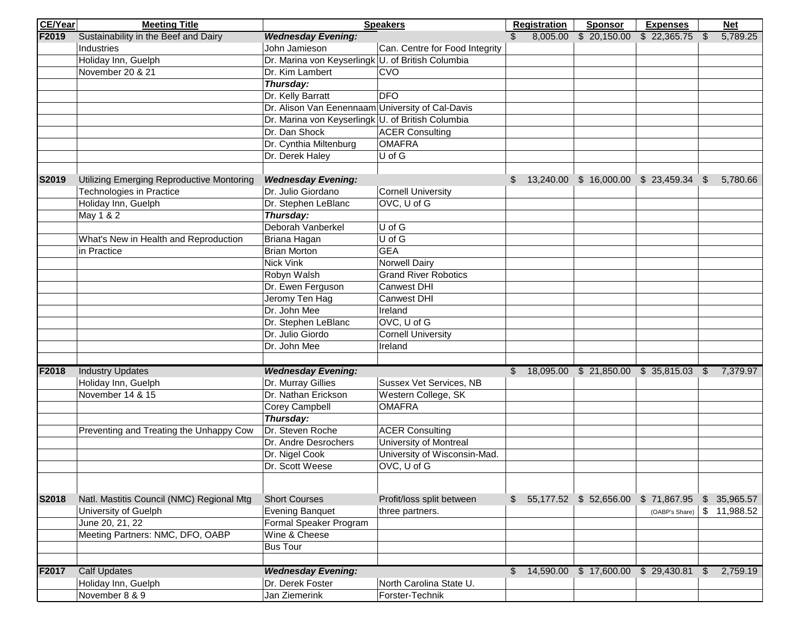| <b>CE/Year</b> | <b>Meeting Title</b>                      | <b>Speakers</b>                                   |                                | <b>Registration</b> | <b>Sponsor</b> | <b>Expenses</b>                     |                                              | <b>Net</b> |             |
|----------------|-------------------------------------------|---------------------------------------------------|--------------------------------|---------------------|----------------|-------------------------------------|----------------------------------------------|------------|-------------|
| F2019          | Sustainability in the Beef and Dairy      | <b>Wednesday Evening:</b>                         |                                |                     | 8,005.00       | \$20,150.00                         | \$22,365.75                                  | \$         | 5,789.25    |
|                | Industries                                | John Jamieson                                     | Can. Centre for Food Integrity |                     |                |                                     |                                              |            |             |
|                | Holiday Inn, Guelph                       | Dr. Marina von Keyserlingk U. of British Columbia |                                |                     |                |                                     |                                              |            |             |
|                | November 20 & 21                          | Dr. Kim Lambert                                   | CVO                            |                     |                |                                     |                                              |            |             |
|                |                                           | Thursday:                                         |                                |                     |                |                                     |                                              |            |             |
|                |                                           | Dr. Kelly Barratt                                 | <b>DFO</b>                     |                     |                |                                     |                                              |            |             |
|                |                                           | Dr. Alison Van Eenennaam University of Cal-Davis  |                                |                     |                |                                     |                                              |            |             |
|                |                                           | Dr. Marina von Keyserlingk U. of British Columbia |                                |                     |                |                                     |                                              |            |             |
|                |                                           | Dr. Dan Shock                                     | <b>ACER Consulting</b>         |                     |                |                                     |                                              |            |             |
|                |                                           | Dr. Cynthia Miltenburg                            | <b>OMAFRA</b>                  |                     |                |                                     |                                              |            |             |
|                |                                           | Dr. Derek Haley                                   | U of G                         |                     |                |                                     |                                              |            |             |
|                |                                           |                                                   |                                |                     |                |                                     |                                              |            |             |
| S2019          | Utilizing Emerging Reproductive Montoring | <b>Wednesday Evening:</b>                         |                                |                     |                |                                     | \$ 13,240.00 \$ 16,000.00 \$ 23,459.34 \$    |            | 5,780.66    |
|                | Technologies in Practice                  | Dr. Julio Giordano                                | <b>Cornell University</b>      |                     |                |                                     |                                              |            |             |
|                | Holiday Inn, Guelph                       | Dr. Stephen LeBlanc                               | OVC, U of G                    |                     |                |                                     |                                              |            |             |
|                | May 1 & 2                                 | Thursday:                                         |                                |                     |                |                                     |                                              |            |             |
|                |                                           | Deborah Vanberkel                                 | U of G                         |                     |                |                                     |                                              |            |             |
|                | What's New in Health and Reproduction     | Briana Hagan                                      | $U$ of $G$                     |                     |                |                                     |                                              |            |             |
|                | in Practice                               | Brian Morton                                      | <b>GEA</b>                     |                     |                |                                     |                                              |            |             |
|                |                                           | Nick Vink                                         | <b>Norwell Dairy</b>           |                     |                |                                     |                                              |            |             |
|                |                                           | Robyn Walsh                                       | <b>Grand River Robotics</b>    |                     |                |                                     |                                              |            |             |
|                |                                           | Dr. Ewen Ferguson                                 | Canwest DHI                    |                     |                |                                     |                                              |            |             |
|                |                                           | Jeromy Ten Hag                                    | Canwest DHI                    |                     |                |                                     |                                              |            |             |
|                |                                           | Dr. John Mee                                      | Ireland                        |                     |                |                                     |                                              |            |             |
|                |                                           | Dr. Stephen LeBlanc                               | OVC, U of G                    |                     |                |                                     |                                              |            |             |
|                |                                           | Dr. Julio Giordo                                  | <b>Cornell University</b>      |                     |                |                                     |                                              |            |             |
|                |                                           | Dr. John Mee                                      | Ireland                        |                     |                |                                     |                                              |            |             |
|                |                                           |                                                   |                                |                     |                |                                     |                                              |            |             |
| F2018          | <b>Industry Updates</b>                   | <b>Wednesday Evening:</b>                         |                                |                     |                |                                     | $$18,095.00 $21,850.00 $35,815.03 $7,379.97$ |            |             |
|                | Holiday Inn, Guelph                       | Dr. Murray Gillies                                | Sussex Vet Services, NB        |                     |                |                                     |                                              |            |             |
|                | November 14 & 15                          | Dr. Nathan Erickson                               | Western College, SK            |                     |                |                                     |                                              |            |             |
|                |                                           | Corey Campbell                                    | <b>OMAFRA</b>                  |                     |                |                                     |                                              |            |             |
|                |                                           | Thursday:                                         |                                |                     |                |                                     |                                              |            |             |
|                | Preventing and Treating the Unhappy Cow   | Dr. Steven Roche                                  | <b>ACER Consulting</b>         |                     |                |                                     |                                              |            |             |
|                |                                           | Dr. Andre Desrochers                              | <b>University of Montreal</b>  |                     |                |                                     |                                              |            |             |
|                |                                           | Dr. Nigel Cook                                    | University of Wisconsin-Mad.   |                     |                |                                     |                                              |            |             |
|                |                                           | Dr. Scott Weese                                   | OVC, U of G                    |                     |                |                                     |                                              |            |             |
|                |                                           |                                                   |                                |                     |                |                                     |                                              |            |             |
| S2018          | Natl. Mastitis Council (NMC) Regional Mtg | <b>Short Courses</b>                              | Profit/loss split between      | $\mathbb{S}$        |                | 55,177.52 \$ 52,656.00 \$ 71,867.95 |                                              |            | \$35,965.57 |
|                | University of Guelph                      | Evening Banquet                                   | three partners.                |                     |                |                                     | (OABP's Share)                               |            | \$11,988.52 |
|                | June 20, 21, 22                           | Formal Speaker Program                            |                                |                     |                |                                     |                                              |            |             |
|                | Meeting Partners: NMC, DFO, OABP          | Wine & Cheese                                     |                                |                     |                |                                     |                                              |            |             |
|                |                                           | <b>Bus Tour</b>                                   |                                |                     |                |                                     |                                              |            |             |
|                |                                           |                                                   |                                |                     |                |                                     |                                              |            |             |
| F2017          | <b>Calf Updates</b>                       | <b>Wednesday Evening:</b>                         |                                | $\mathbb{S}$        | 14,590.00      | \$17,600.00 \$29,430.81             |                                              | - \$       | 2,759.19    |
|                | Holiday Inn, Guelph                       | Dr. Derek Foster                                  | North Carolina State U.        |                     |                |                                     |                                              |            |             |
|                | November 8 & 9                            | Jan Ziemerink                                     | Forster-Technik                |                     |                |                                     |                                              |            |             |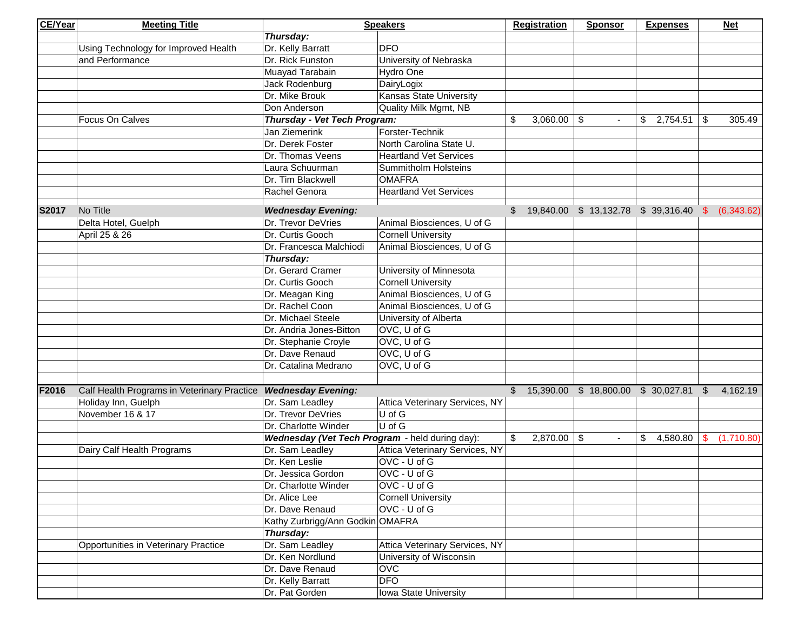| <b>CE/Year</b> | <b>Meeting Title</b>                        |                                                 | <b>Speakers</b>                |    | <b>Registration</b> | <b>Sponsor</b> | <b>Expenses</b>                                    |              | <b>Net</b> |
|----------------|---------------------------------------------|-------------------------------------------------|--------------------------------|----|---------------------|----------------|----------------------------------------------------|--------------|------------|
|                |                                             | Thursday:                                       |                                |    |                     |                |                                                    |              |            |
|                | Using Technology for Improved Health        | Dr. Kelly Barratt                               | <b>DFO</b>                     |    |                     |                |                                                    |              |            |
|                | and Performance                             | Dr. Rick Funston                                | University of Nebraska         |    |                     |                |                                                    |              |            |
|                |                                             | Muayad Tarabain                                 | Hydro One                      |    |                     |                |                                                    |              |            |
|                |                                             | Jack Rodenburg                                  | DairyLogix                     |    |                     |                |                                                    |              |            |
|                |                                             | Dr. Mike Brouk                                  | <b>Kansas State University</b> |    |                     |                |                                                    |              |            |
|                |                                             | Don Anderson                                    | Quality Milk Mgmt, NB          |    |                     |                |                                                    |              |            |
|                | Focus On Calves                             | Thursday - Vet Tech Program:                    |                                | \$ | $3,060.00$ \ \$     | $\sim$         | \$2,754.51                                         | -\$          | 305.49     |
|                |                                             | Jan Ziemerink                                   | Forster-Technik                |    |                     |                |                                                    |              |            |
|                |                                             | Dr. Derek Foster                                | North Carolina State U.        |    |                     |                |                                                    |              |            |
|                |                                             | Dr. Thomas Veens                                | <b>Heartland Vet Services</b>  |    |                     |                |                                                    |              |            |
|                |                                             | Laura Schuurman                                 | <b>Summitholm Holsteins</b>    |    |                     |                |                                                    |              |            |
|                |                                             | Dr. Tim Blackwell                               | <b>OMAFRA</b>                  |    |                     |                |                                                    |              |            |
|                |                                             | Rachel Genora                                   | <b>Heartland Vet Services</b>  |    |                     |                |                                                    |              |            |
|                |                                             |                                                 |                                |    |                     |                |                                                    |              |            |
| S2017          | No Title                                    | <b>Wednesday Evening:</b>                       |                                |    |                     |                | $$19,840.00 \$13,132.78 \$39,316.40 \$ (6,343.62)$ |              |            |
|                | Delta Hotel, Guelph                         | Dr. Trevor DeVries                              | Animal Biosciences, U of G     |    |                     |                |                                                    |              |            |
|                | April 25 & 26                               | Dr. Curtis Gooch                                | <b>Cornell University</b>      |    |                     |                |                                                    |              |            |
|                |                                             | Dr. Francesca Malchiodi                         | Animal Biosciences, U of G     |    |                     |                |                                                    |              |            |
|                |                                             | Thursday:                                       |                                |    |                     |                |                                                    |              |            |
|                |                                             | Dr. Gerard Cramer                               | University of Minnesota        |    |                     |                |                                                    |              |            |
|                |                                             | Dr. Curtis Gooch                                | <b>Cornell University</b>      |    |                     |                |                                                    |              |            |
|                |                                             | Dr. Meagan King                                 | Animal Biosciences, U of G     |    |                     |                |                                                    |              |            |
|                |                                             | Dr. Rachel Coon                                 | Animal Biosciences, U of G     |    |                     |                |                                                    |              |            |
|                |                                             | Dr. Michael Steele                              | University of Alberta          |    |                     |                |                                                    |              |            |
|                |                                             | Dr. Andria Jones-Bitton                         | OVC, U of G                    |    |                     |                |                                                    |              |            |
|                |                                             | Dr. Stephanie Croyle                            | OVC, U of G                    |    |                     |                |                                                    |              |            |
|                |                                             | Dr. Dave Renaud                                 | OVC, U of G                    |    |                     |                |                                                    |              |            |
|                |                                             | Dr. Catalina Medrano                            | OVC, U of G                    |    |                     |                |                                                    |              |            |
|                |                                             |                                                 |                                |    |                     |                |                                                    |              |            |
| F2016          | Calf Health Programs in Veterinary Practice | <b>Wednesday Evening:</b>                       |                                |    |                     |                | 15,390.00 \$ 18,800.00 \$ 30,027.81                | $\mathbb{S}$ | 4,162.19   |
|                | Holiday Inn, Guelph                         | Dr. Sam Leadley                                 | Attica Veterinary Services, NY |    |                     |                |                                                    |              |            |
|                | November 16 & 17                            | Dr. Trevor DeVries                              | $\overline{\bigcup_{i}$ of G   |    |                     |                |                                                    |              |            |
|                |                                             | Dr. Charlotte Winder                            | $\overline{\bigcup_{i}$ of G   |    |                     |                |                                                    |              |            |
|                |                                             | Wednesday (Vet Tech Program - held during day): |                                | \$ | $2,870.00$ \ \$     | $\blacksquare$ | \$<br>4,580.80                                     | \$.          | (1,710.80) |
|                | Dairy Calf Health Programs                  | Dr. Sam Leadley                                 | Attica Veterinary Services, NY |    |                     |                |                                                    |              |            |
|                |                                             | Dr. Ken Leslie                                  | OVC - U of G                   |    |                     |                |                                                    |              |            |
|                |                                             | Dr. Jessica Gordon                              | OVC - U of G                   |    |                     |                |                                                    |              |            |
|                |                                             | Dr. Charlotte Winder                            | OVC - U of G                   |    |                     |                |                                                    |              |            |
|                |                                             | Dr. Alice Lee                                   | <b>Cornell University</b>      |    |                     |                |                                                    |              |            |
|                |                                             | Dr. Dave Renaud                                 | OVC - U of G                   |    |                     |                |                                                    |              |            |
|                |                                             | Kathy Zurbrigg/Ann Godkin OMAFRA                |                                |    |                     |                |                                                    |              |            |
|                |                                             | Thursday:                                       |                                |    |                     |                |                                                    |              |            |
|                | <b>Opportunities in Veterinary Practice</b> | Dr. Sam Leadley                                 | Attica Veterinary Services, NY |    |                     |                |                                                    |              |            |
|                |                                             | Dr. Ken Nordlund                                | University of Wisconsin        |    |                     |                |                                                    |              |            |
|                |                                             | Dr. Dave Renaud                                 | <b>OVC</b>                     |    |                     |                |                                                    |              |            |
|                |                                             | Dr. Kelly Barratt                               | <b>DFO</b>                     |    |                     |                |                                                    |              |            |
|                |                                             | Dr. Pat Gorden                                  | Iowa State University          |    |                     |                |                                                    |              |            |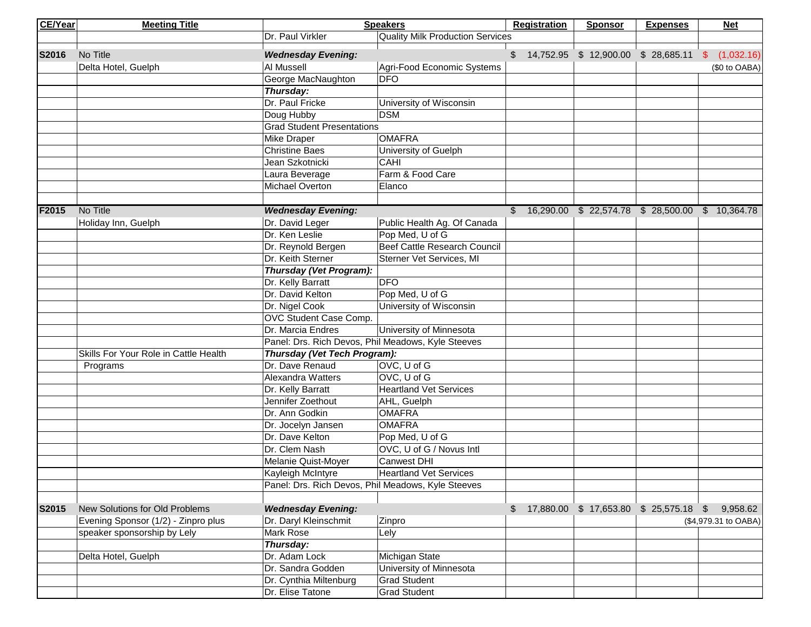| <b>CE/Year</b> | <b>Meeting Title</b>                  |                                                    | <b>Speakers</b>                           | <b>Registration</b> | <b>Sponsor</b> | <b>Expenses</b>                            | <b>Net</b>                                    |
|----------------|---------------------------------------|----------------------------------------------------|-------------------------------------------|---------------------|----------------|--------------------------------------------|-----------------------------------------------|
|                |                                       | Dr. Paul Virkler                                   | <b>Quality Milk Production Services</b>   |                     |                |                                            |                                               |
| S2016          | No Title                              | <b>Wednesday Evening:</b>                          |                                           |                     |                | $$14,752.95$ $$12,900.00$ $$28,685.11$ $$$ | (1,032.16)                                    |
|                | Delta Hotel, Guelph                   | Al Mussell                                         | Agri-Food Economic Systems                |                     |                |                                            | (\$0 to OABA)                                 |
|                |                                       | George MacNaughton                                 | <b>DFO</b>                                |                     |                |                                            |                                               |
|                |                                       | Thursday:                                          |                                           |                     |                |                                            |                                               |
|                |                                       | Dr. Paul Fricke                                    | University of Wisconsin                   |                     |                |                                            |                                               |
|                |                                       | Doug Hubby                                         | <b>DSM</b>                                |                     |                |                                            |                                               |
|                |                                       | <b>Grad Student Presentations</b>                  |                                           |                     |                |                                            |                                               |
|                |                                       | <b>Mike Draper</b>                                 | <b>OMAFRA</b>                             |                     |                |                                            |                                               |
|                |                                       | <b>Christine Baes</b>                              | University of Guelph                      |                     |                |                                            |                                               |
|                |                                       | Jean Szkotnicki                                    | <b>CAHI</b>                               |                     |                |                                            |                                               |
|                |                                       | Laura Beverage                                     | Farm & Food Care                          |                     |                |                                            |                                               |
|                |                                       | Michael Overton                                    | Elanco                                    |                     |                |                                            |                                               |
|                |                                       |                                                    |                                           |                     |                |                                            |                                               |
| F2015          | No Title                              | <b>Wednesday Evening:</b>                          |                                           |                     |                |                                            | $$16,290.00 $22,574.78 $28,500.00 $10,364.78$ |
|                | Holiday Inn, Guelph                   | Dr. David Leger                                    | Public Health Ag. Of Canada               |                     |                |                                            |                                               |
|                |                                       | Dr. Ken Leslie                                     | Pop Med, U of G                           |                     |                |                                            |                                               |
|                |                                       | Dr. Reynold Bergen                                 | <b>Beef Cattle Research Council</b>       |                     |                |                                            |                                               |
|                |                                       | Dr. Keith Sterner                                  | Sterner Vet Services, MI                  |                     |                |                                            |                                               |
|                |                                       | Thursday (Vet Program):                            |                                           |                     |                |                                            |                                               |
|                |                                       | Dr. Kelly Barratt                                  | <b>DFO</b>                                |                     |                |                                            |                                               |
|                |                                       | Dr. David Kelton                                   | Pop Med, U of G                           |                     |                |                                            |                                               |
|                |                                       | Dr. Nigel Cook                                     | University of Wisconsin                   |                     |                |                                            |                                               |
|                |                                       | OVC Student Case Comp.                             |                                           |                     |                |                                            |                                               |
|                |                                       | Dr. Marcia Endres                                  | University of Minnesota                   |                     |                |                                            |                                               |
|                |                                       | Panel: Drs. Rich Devos, Phil Meadows, Kyle Steeves |                                           |                     |                |                                            |                                               |
|                | Skills For Your Role in Cattle Health | Thursday (Vet Tech Program):                       |                                           |                     |                |                                            |                                               |
|                | Programs                              | Dr. Dave Renaud                                    | OVC, U of G                               |                     |                |                                            |                                               |
|                |                                       | Alexandra Watters                                  | OVC, U of G                               |                     |                |                                            |                                               |
|                |                                       | Dr. Kelly Barratt                                  | <b>Heartland Vet Services</b>             |                     |                |                                            |                                               |
|                |                                       | Jennifer Zoethout                                  | AHL, Guelph                               |                     |                |                                            |                                               |
|                |                                       | Dr. Ann Godkin                                     | <b>OMAFRA</b>                             |                     |                |                                            |                                               |
|                |                                       | Dr. Jocelyn Jansen                                 | <b>OMAFRA</b>                             |                     |                |                                            |                                               |
|                |                                       | Dr. Dave Kelton                                    | Pop Med, U of G                           |                     |                |                                            |                                               |
|                |                                       | Dr. Clem Nash                                      | OVC, U of G / Novus Intl                  |                     |                |                                            |                                               |
|                |                                       | Melanie Quist-Moyer                                | <b>Canwest DHI</b>                        |                     |                |                                            |                                               |
|                |                                       | Kayleigh McIntyre                                  | <b>Heartland Vet Services</b>             |                     |                |                                            |                                               |
|                |                                       | Panel: Drs. Rich Devos, Phil Meadows, Kyle Steeves |                                           |                     |                |                                            |                                               |
|                |                                       |                                                    |                                           |                     |                |                                            |                                               |
| S2015          | New Solutions for Old Problems        | <b>Wednesday Evening:</b>                          |                                           |                     |                | \$ 17,880.00 \$ 17,653.80 \$ 25,575.18 \$  | 9,958.62                                      |
|                | Evening Sponsor (1/2) - Zinpro plus   | Dr. Daryl Kleinschmit                              | Zinpro                                    |                     |                |                                            | (\$4,979.31 to OABA)                          |
|                | speaker sponsorship by Lely           | Mark Rose                                          | Lely                                      |                     |                |                                            |                                               |
|                |                                       | Thursday:                                          |                                           |                     |                |                                            |                                               |
|                | Delta Hotel, Guelph                   | Dr. Adam Lock                                      | Michigan State<br>University of Minnesota |                     |                |                                            |                                               |
|                |                                       | Dr. Sandra Godden                                  |                                           |                     |                |                                            |                                               |
|                |                                       | Dr. Cynthia Miltenburg<br>Dr. Elise Tatone         | <b>Grad Student</b>                       |                     |                |                                            |                                               |
|                |                                       |                                                    | <b>Grad Student</b>                       |                     |                |                                            |                                               |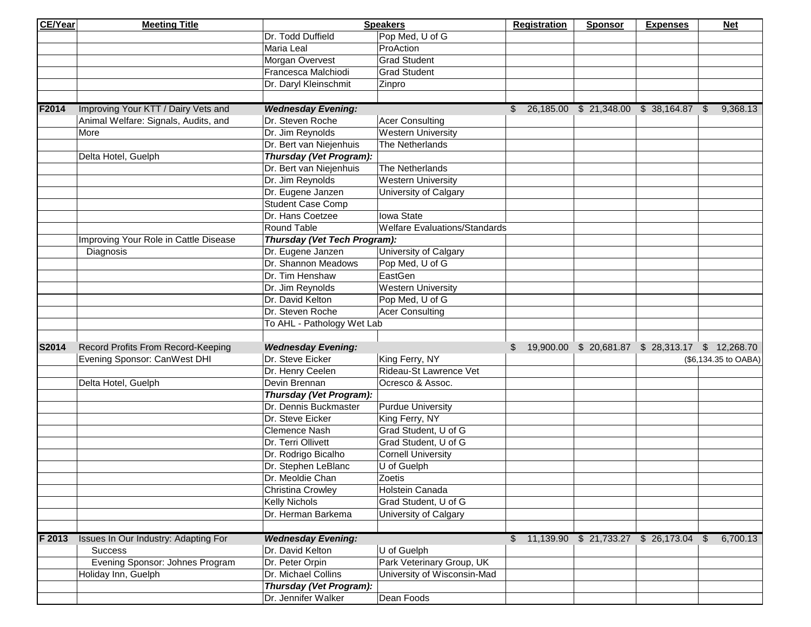| <b>CE/Year</b> | <b>Meeting Title</b>                  |                              | <b>Speakers</b>                      | <b>Registration</b>                                 | <b>Sponsor</b> | <b>Expenses</b> | <b>Net</b>           |
|----------------|---------------------------------------|------------------------------|--------------------------------------|-----------------------------------------------------|----------------|-----------------|----------------------|
|                |                                       | Dr. Todd Duffield            | Pop Med, U of G                      |                                                     |                |                 |                      |
|                |                                       | Maria Leal                   | ProAction                            |                                                     |                |                 |                      |
|                |                                       | Morgan Overvest              | <b>Grad Student</b>                  |                                                     |                |                 |                      |
|                |                                       | Francesca Malchiodi          | <b>Grad Student</b>                  |                                                     |                |                 |                      |
|                |                                       | Dr. Daryl Kleinschmit        | Zinpro                               |                                                     |                |                 |                      |
|                |                                       |                              |                                      |                                                     |                |                 |                      |
| F2014          | Improving Your KTT / Dairy Vets and   | <b>Wednesday Evening:</b>    |                                      | $$26,185.00 $21,348.00 $38,164.87 $9,368.13$        |                |                 |                      |
|                | Animal Welfare: Signals, Audits, and  | Dr. Steven Roche             | <b>Acer Consulting</b>               |                                                     |                |                 |                      |
|                | More                                  | Dr. Jim Reynolds             | <b>Western University</b>            |                                                     |                |                 |                      |
|                |                                       | Dr. Bert van Niejenhuis      | The Netherlands                      |                                                     |                |                 |                      |
|                | Delta Hotel, Guelph                   | Thursday (Vet Program):      |                                      |                                                     |                |                 |                      |
|                |                                       | Dr. Bert van Niejenhuis      | The Netherlands                      |                                                     |                |                 |                      |
|                |                                       | Dr. Jim Reynolds             | <b>Western University</b>            |                                                     |                |                 |                      |
|                |                                       | Dr. Eugene Janzen            | University of Calgary                |                                                     |                |                 |                      |
|                |                                       | <b>Student Case Comp</b>     |                                      |                                                     |                |                 |                      |
|                |                                       | Dr. Hans Coetzee             | Iowa State                           |                                                     |                |                 |                      |
|                |                                       | Round Table                  | <b>Welfare Evaluations/Standards</b> |                                                     |                |                 |                      |
|                | Improving Your Role in Cattle Disease | Thursday (Vet Tech Program): |                                      |                                                     |                |                 |                      |
|                | Diagnosis                             | Dr. Eugene Janzen            | University of Calgary                |                                                     |                |                 |                      |
|                |                                       | Dr. Shannon Meadows          | Pop Med, U of G                      |                                                     |                |                 |                      |
|                |                                       | Dr. Tim Henshaw              | EastGen                              |                                                     |                |                 |                      |
|                |                                       | Dr. Jim Reynolds             | <b>Western University</b>            |                                                     |                |                 |                      |
|                |                                       | Dr. David Kelton             | Pop Med, U of G                      |                                                     |                |                 |                      |
|                |                                       | Dr. Steven Roche             | <b>Acer Consulting</b>               |                                                     |                |                 |                      |
|                |                                       | To AHL - Pathology Wet Lab   |                                      |                                                     |                |                 |                      |
|                |                                       |                              |                                      |                                                     |                |                 |                      |
| S2014          | Record Profits From Record-Keeping    | <b>Wednesday Evening:</b>    |                                      | \$ 19,900.00 \$ 20,681.87 \$ 28,313.17 \$ 12,268.70 |                |                 |                      |
|                | Evening Sponsor: CanWest DHI          | Dr. Steve Eicker             | King Ferry, NY                       |                                                     |                |                 | (\$6,134.35 to OABA) |
|                |                                       | Dr. Henry Ceelen             | Rideau-St Lawrence Vet               |                                                     |                |                 |                      |
|                | Delta Hotel, Guelph                   | Devin Brennan                | Ocresco & Assoc.                     |                                                     |                |                 |                      |
|                |                                       | Thursday (Vet Program):      |                                      |                                                     |                |                 |                      |
|                |                                       | Dr. Dennis Buckmaster        | <b>Purdue University</b>             |                                                     |                |                 |                      |
|                |                                       | Dr. Steve Eicker             | King Ferry, NY                       |                                                     |                |                 |                      |
|                |                                       | <b>Clemence Nash</b>         | Grad Student, U of G                 |                                                     |                |                 |                      |
|                |                                       | Dr. Terri Ollivett           | Grad Student, U of G                 |                                                     |                |                 |                      |
|                |                                       | Dr. Rodrigo Bicalho          | <b>Cornell University</b>            |                                                     |                |                 |                      |
|                |                                       | Dr. Stephen LeBlanc          | U of Guelph                          |                                                     |                |                 |                      |
|                |                                       | Dr. Meoldie Chan             | Zoetis                               |                                                     |                |                 |                      |
|                |                                       | Christina Crowley            | Holstein Canada                      |                                                     |                |                 |                      |
|                |                                       | Kelly Nichols                | Grad Student, U of G                 |                                                     |                |                 |                      |
|                |                                       | Dr. Herman Barkema           | University of Calgary                |                                                     |                |                 |                      |
|                |                                       |                              |                                      |                                                     |                |                 |                      |
| F 2013         | Issues In Our Industry: Adapting For  | <b>Wednesday Evening:</b>    |                                      | $$11,139.90$ $$21,733.27$ $$26,173.04$ $$$          |                |                 | 6,700.13             |
|                | <b>Success</b>                        | Dr. David Kelton             | U of Guelph                          |                                                     |                |                 |                      |
|                | Evening Sponsor: Johnes Program       | Dr. Peter Orpin              | Park Veterinary Group, UK            |                                                     |                |                 |                      |
|                | Holiday Inn, Guelph                   | Dr. Michael Collins          | University of Wisconsin-Mad          |                                                     |                |                 |                      |
|                |                                       | Thursday (Vet Program):      |                                      |                                                     |                |                 |                      |
|                |                                       | Dr. Jennifer Walker          | Dean Foods                           |                                                     |                |                 |                      |
|                |                                       |                              |                                      |                                                     |                |                 |                      |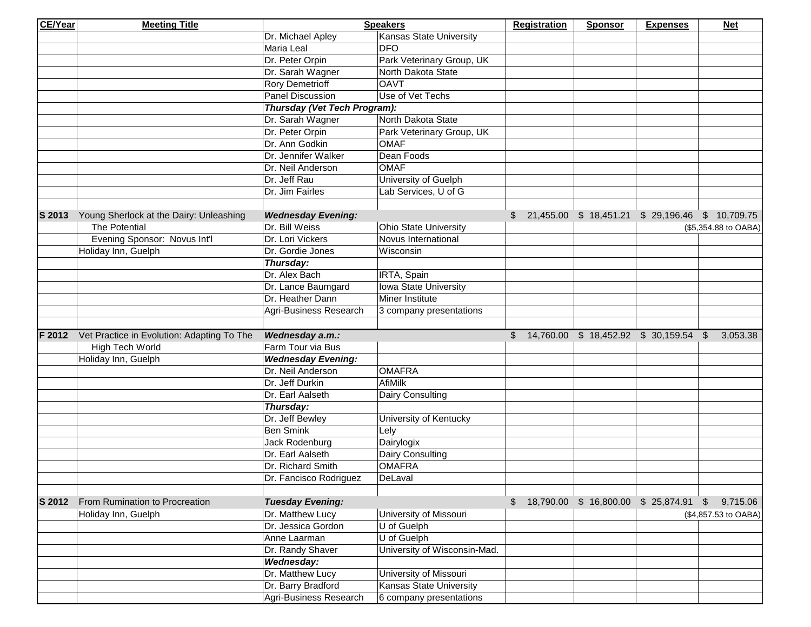| <b>CE/Year</b> | <b>Meeting Title</b>                       |                              | <b>Speakers</b>                | <b>Registration</b>                    | <b>Sponsor</b> | <b>Expenses</b> | <b>Net</b>                                          |
|----------------|--------------------------------------------|------------------------------|--------------------------------|----------------------------------------|----------------|-----------------|-----------------------------------------------------|
|                |                                            | Dr. Michael Apley            | Kansas State University        |                                        |                |                 |                                                     |
|                |                                            | Maria Leal                   | <b>DFO</b>                     |                                        |                |                 |                                                     |
|                |                                            | Dr. Peter Orpin              | Park Veterinary Group, UK      |                                        |                |                 |                                                     |
|                |                                            | Dr. Sarah Wagner             | North Dakota State             |                                        |                |                 |                                                     |
|                |                                            | <b>Rory Demetrioff</b>       | <b>OAVT</b>                    |                                        |                |                 |                                                     |
|                |                                            | <b>Panel Discussion</b>      | Use of Vet Techs               |                                        |                |                 |                                                     |
|                |                                            | Thursday (Vet Tech Program): |                                |                                        |                |                 |                                                     |
|                |                                            | Dr. Sarah Wagner             | North Dakota State             |                                        |                |                 |                                                     |
|                |                                            | Dr. Peter Orpin              | Park Veterinary Group, UK      |                                        |                |                 |                                                     |
|                |                                            | Dr. Ann Godkin               | <b>OMAF</b>                    |                                        |                |                 |                                                     |
|                |                                            | Dr. Jennifer Walker          | Dean Foods                     |                                        |                |                 |                                                     |
|                |                                            | Dr. Neil Anderson            | <b>OMAF</b>                    |                                        |                |                 |                                                     |
|                |                                            | Dr. Jeff Rau                 | University of Guelph           |                                        |                |                 |                                                     |
|                |                                            | Dr. Jim Fairles              | Lab Services, U of G           |                                        |                |                 |                                                     |
|                |                                            |                              |                                |                                        |                |                 |                                                     |
| S 2013         | Young Sherlock at the Dairy: Unleashing    | <b>Wednesday Evening:</b>    |                                |                                        |                |                 | \$ 21,455.00 \$ 18,451.21 \$ 29,196.46 \$ 10,709.75 |
|                | The Potential                              | Dr. Bill Weiss               | <b>Ohio State University</b>   |                                        |                |                 | (\$5,354.88 to OABA)                                |
|                | Evening Sponsor: Novus Int'l               | Dr. Lori Vickers             | Novus International            |                                        |                |                 |                                                     |
|                | Holiday Inn, Guelph                        | Dr. Gordie Jones             | Wisconsin                      |                                        |                |                 |                                                     |
|                |                                            | Thursday:                    |                                |                                        |                |                 |                                                     |
|                |                                            | Dr. Alex Bach                | IRTA, Spain                    |                                        |                |                 |                                                     |
|                |                                            | Dr. Lance Baumgard           | Iowa State University          |                                        |                |                 |                                                     |
|                |                                            | Dr. Heather Dann             | Miner Institute                |                                        |                |                 |                                                     |
|                |                                            | Agri-Business Research       | 3 company presentations        |                                        |                |                 |                                                     |
|                |                                            |                              |                                |                                        |                |                 |                                                     |
| F 2012         | Vet Practice in Evolution: Adapting To The | Wednesday a.m.:              |                                | \$ 14,760.00 \$ 18,452.92 \$ 30,159.54 |                |                 | 3,053.38<br>\$                                      |
|                | High Tech World                            | Farm Tour via Bus            |                                |                                        |                |                 |                                                     |
|                | Holiday Inn, Guelph                        | <b>Wednesday Evening:</b>    |                                |                                        |                |                 |                                                     |
|                |                                            | Dr. Neil Anderson            | <b>OMAFRA</b>                  |                                        |                |                 |                                                     |
|                |                                            | Dr. Jeff Durkin              | AfiMilk                        |                                        |                |                 |                                                     |
|                |                                            | Dr. Earl Aalseth             | Dairy Consulting               |                                        |                |                 |                                                     |
|                |                                            | Thursday:                    |                                |                                        |                |                 |                                                     |
|                |                                            | Dr. Jeff Bewley              | University of Kentucky         |                                        |                |                 |                                                     |
|                |                                            | <b>Ben Smink</b>             | Lely                           |                                        |                |                 |                                                     |
|                |                                            | Jack Rodenburg               | Dairylogix                     |                                        |                |                 |                                                     |
|                |                                            | Dr. Earl Aalseth             | Dairy Consulting               |                                        |                |                 |                                                     |
|                |                                            | Dr. Richard Smith            | <b>OMAFRA</b>                  |                                        |                |                 |                                                     |
|                |                                            | Dr. Fancisco Rodriguez       | DeLaval                        |                                        |                |                 |                                                     |
|                |                                            |                              |                                |                                        |                |                 |                                                     |
| S 2012         | From Rumination to Procreation             | <b>Tuesday Evening:</b>      |                                | \$ 18,790.00 \$ 16,800.00 \$ 25,874.91 |                |                 | $\sqrt{3}$<br>9,715.06                              |
|                | Holiday Inn, Guelph                        | Dr. Matthew Lucy             | University of Missouri         |                                        |                |                 | (\$4,857.53 to OABA)                                |
|                |                                            | Dr. Jessica Gordon           | U of Guelph                    |                                        |                |                 |                                                     |
|                |                                            | Anne Laarman                 | U of Guelph                    |                                        |                |                 |                                                     |
|                |                                            | Dr. Randy Shaver             | University of Wisconsin-Mad.   |                                        |                |                 |                                                     |
|                |                                            | Wednesday:                   |                                |                                        |                |                 |                                                     |
|                |                                            | Dr. Matthew Lucy             | University of Missouri         |                                        |                |                 |                                                     |
|                |                                            | Dr. Barry Bradford           | <b>Kansas State University</b> |                                        |                |                 |                                                     |
|                |                                            | Agri-Business Research       | 6 company presentations        |                                        |                |                 |                                                     |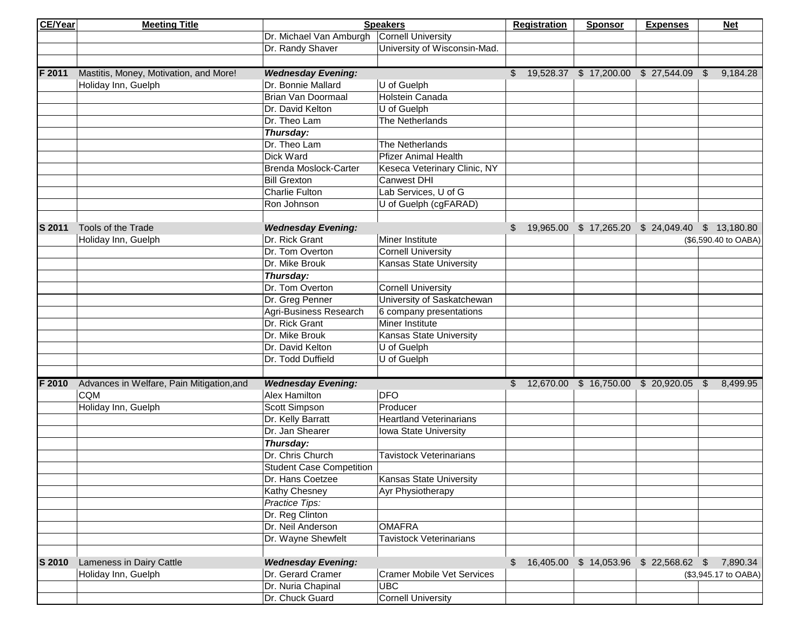| <b>CE/Year</b> | <b>Meeting Title</b>                      |                                   | <b>Speakers</b>                   | <b>Registration</b>                                | <b>Sponsor</b>                                   | <b>Expenses</b> | <b>Net</b>           |
|----------------|-------------------------------------------|-----------------------------------|-----------------------------------|----------------------------------------------------|--------------------------------------------------|-----------------|----------------------|
|                |                                           | Dr. Michael Van Amburgh           | Cornell University                |                                                    |                                                  |                 |                      |
|                |                                           | Dr. Randy Shaver                  | University of Wisconsin-Mad.      |                                                    |                                                  |                 |                      |
|                |                                           |                                   |                                   |                                                    |                                                  |                 |                      |
| F 2011         | Mastitis, Money, Motivation, and More!    | <b>Wednesday Evening:</b>         |                                   | \$ 19,528.37 \$ 17,200.00 \$ 27,544.09 \$ 9,184.28 |                                                  |                 |                      |
|                | Holiday Inn, Guelph                       | Dr. Bonnie Mallard                | U of Guelph                       |                                                    |                                                  |                 |                      |
|                |                                           | Brian Van Doormaal                | Holstein Canada                   |                                                    |                                                  |                 |                      |
|                |                                           | Dr. David Kelton                  | U of Guelph                       |                                                    |                                                  |                 |                      |
|                |                                           | Dr. Theo Lam                      | The Netherlands                   |                                                    |                                                  |                 |                      |
|                |                                           | Thursday:                         |                                   |                                                    |                                                  |                 |                      |
|                |                                           | Dr. Theo Lam                      | The Netherlands                   |                                                    |                                                  |                 |                      |
|                |                                           | Dick Ward                         | <b>Pfizer Animal Health</b>       |                                                    |                                                  |                 |                      |
|                |                                           | Brenda Moslock-Carter             | Keseca Veterinary Clinic, NY      |                                                    |                                                  |                 |                      |
|                |                                           | <b>Bill Grexton</b>               | <b>Canwest DHI</b>                |                                                    |                                                  |                 |                      |
|                |                                           | Charlie Fulton                    | Lab Services, U of G              |                                                    |                                                  |                 |                      |
|                |                                           | Ron Johnson                       | U of Guelph (cgFARAD)             |                                                    |                                                  |                 |                      |
|                |                                           |                                   |                                   |                                                    |                                                  |                 |                      |
| <b>S 2011</b>  | Tools of the Trade                        | <b>Wednesday Evening:</b>         |                                   | \$                                                 | 19,965.00 \$ 17,265.20 \$ 24,049.40 \$ 13,180.80 |                 |                      |
|                | Holiday Inn, Guelph                       | Dr. Rick Grant                    | Miner Institute                   |                                                    |                                                  |                 | (\$6,590.40 to OABA) |
|                |                                           | Dr. Tom Overton                   | <b>Cornell University</b>         |                                                    |                                                  |                 |                      |
|                |                                           | Dr. Mike Brouk                    | Kansas State University           |                                                    |                                                  |                 |                      |
|                |                                           | Thursday:                         |                                   |                                                    |                                                  |                 |                      |
|                |                                           | Dr. Tom Overton                   | <b>Cornell University</b>         |                                                    |                                                  |                 |                      |
|                |                                           | Dr. Greg Penner                   | University of Saskatchewan        |                                                    |                                                  |                 |                      |
|                |                                           | Agri-Business Research            | 6 company presentations           |                                                    |                                                  |                 |                      |
|                |                                           | Dr. Rick Grant                    | Miner Institute                   |                                                    |                                                  |                 |                      |
|                |                                           | Dr. Mike Brouk                    | Kansas State University           |                                                    |                                                  |                 |                      |
|                |                                           | Dr. David Kelton                  | U of Guelph                       |                                                    |                                                  |                 |                      |
|                |                                           | Dr. Todd Duffield                 | U of Guelph                       |                                                    |                                                  |                 |                      |
|                |                                           |                                   |                                   |                                                    |                                                  |                 |                      |
| F 2010         | Advances in Welfare, Pain Mitigation, and | <b>Wednesday Evening:</b>         |                                   | $$12,670.00 $16,750.00 $20,920.05 $8,499.95$       |                                                  |                 |                      |
|                | <b>CQM</b>                                | Alex Hamilton                     | <b>DFO</b>                        |                                                    |                                                  |                 |                      |
|                | Holiday Inn, Guelph                       | Scott Simpson                     | Producer                          |                                                    |                                                  |                 |                      |
|                |                                           | Dr. Kelly Barratt                 | <b>Heartland Veterinarians</b>    |                                                    |                                                  |                 |                      |
|                |                                           | Dr. Jan Shearer                   | Iowa State University             |                                                    |                                                  |                 |                      |
|                |                                           | Thursday:<br>Dr. Chris Church     |                                   |                                                    |                                                  |                 |                      |
|                |                                           |                                   | <b>Tavistock Veterinarians</b>    |                                                    |                                                  |                 |                      |
|                |                                           | <b>Student Case Competition</b>   |                                   |                                                    |                                                  |                 |                      |
|                |                                           | Dr. Hans Coetzee                  | Kansas State University           |                                                    |                                                  |                 |                      |
|                |                                           | <b>Kathy Chesney</b>              | Ayr Physiotherapy                 |                                                    |                                                  |                 |                      |
|                |                                           | Practice Tips:<br>Dr. Reg Clinton |                                   |                                                    |                                                  |                 |                      |
|                |                                           |                                   |                                   |                                                    |                                                  |                 |                      |
|                |                                           | Dr. Neil Anderson                 | <b>OMAFRA</b>                     |                                                    |                                                  |                 |                      |
|                |                                           | Dr. Wayne Shewfelt                | <b>Tavistock Veterinarians</b>    |                                                    |                                                  |                 |                      |
| S 2010         | Lameness in Dairy Cattle                  | <b>Wednesday Evening:</b>         |                                   | \$16,405.00 \$14,053.96 \$22,568.62 \$             |                                                  |                 | 7,890.34             |
|                | Holiday Inn, Guelph                       | Dr. Gerard Cramer                 | <b>Cramer Mobile Vet Services</b> |                                                    |                                                  |                 | (\$3,945.17 to OABA) |
|                |                                           | Dr. Nuria Chapinal                | <b>UBC</b>                        |                                                    |                                                  |                 |                      |
|                |                                           | Dr. Chuck Guard                   | <b>Cornell University</b>         |                                                    |                                                  |                 |                      |
|                |                                           |                                   |                                   |                                                    |                                                  |                 |                      |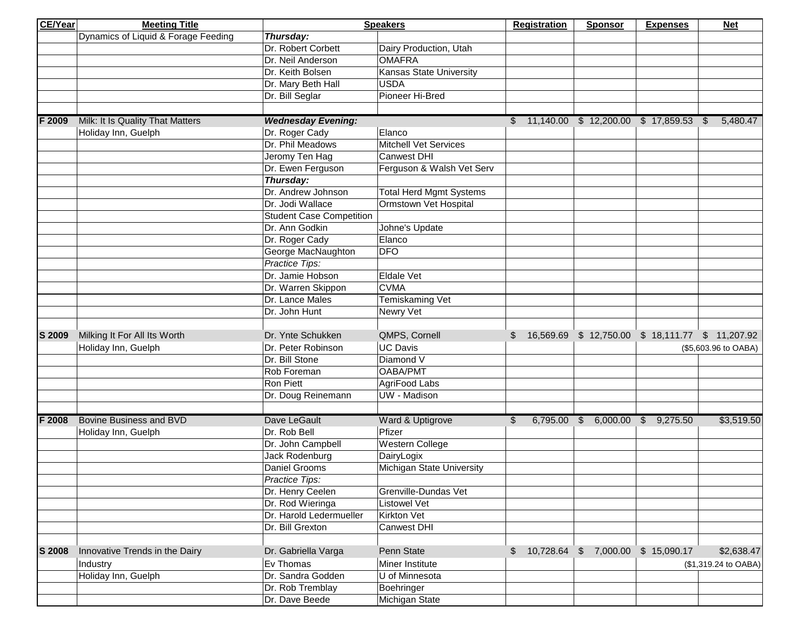| CE/Year | <b>Meeting Title</b>                |                                 | <b>Speakers</b>                | <b>Registration</b>                                 | <b>Sponsor</b>                   | <b>Expenses</b>      | <b>Net</b>           |  |
|---------|-------------------------------------|---------------------------------|--------------------------------|-----------------------------------------------------|----------------------------------|----------------------|----------------------|--|
|         | Dynamics of Liquid & Forage Feeding | Thursday:                       |                                |                                                     |                                  |                      |                      |  |
|         |                                     | Dr. Robert Corbett              | Dairy Production, Utah         |                                                     |                                  |                      |                      |  |
|         |                                     | Dr. Neil Anderson               | <b>OMAFRA</b>                  |                                                     |                                  |                      |                      |  |
|         |                                     | Dr. Keith Bolsen                | Kansas State University        |                                                     |                                  |                      |                      |  |
|         |                                     | Dr. Mary Beth Hall              | <b>USDA</b>                    |                                                     |                                  |                      |                      |  |
|         |                                     | Dr. Bill Seglar                 | Pioneer Hi-Bred                |                                                     |                                  |                      |                      |  |
|         |                                     |                                 |                                |                                                     |                                  |                      |                      |  |
| F 2009  | Milk: It Is Quality That Matters    | <b>Wednesday Evening:</b>       |                                | $$11,140.00$$ \$ 12,200.00 \$ 17,859.53             |                                  |                      | 5,480.47<br>\$       |  |
|         | Holiday Inn, Guelph                 | Dr. Roger Cady                  | Elanco                         |                                                     |                                  |                      |                      |  |
|         |                                     | Dr. Phil Meadows                | <b>Mitchell Vet Services</b>   |                                                     |                                  |                      |                      |  |
|         |                                     | Jeromy Ten Hag                  | <b>Canwest DHI</b>             |                                                     |                                  |                      |                      |  |
|         |                                     | Dr. Ewen Ferguson               | Ferguson & Walsh Vet Serv      |                                                     |                                  |                      |                      |  |
|         |                                     | Thursday:                       |                                |                                                     |                                  |                      |                      |  |
|         |                                     | Dr. Andrew Johnson              | <b>Total Herd Mgmt Systems</b> |                                                     |                                  |                      |                      |  |
|         |                                     | Dr. Jodi Wallace                | Ormstown Vet Hospital          |                                                     |                                  |                      |                      |  |
|         |                                     | <b>Student Case Competition</b> |                                |                                                     |                                  |                      |                      |  |
|         |                                     | Dr. Ann Godkin                  | Johne's Update                 |                                                     |                                  |                      |                      |  |
|         |                                     | Dr. Roger Cady                  | Elanco                         |                                                     |                                  |                      |                      |  |
|         |                                     | George MacNaughton              | <b>DFO</b>                     |                                                     |                                  |                      |                      |  |
|         |                                     | Practice Tips:                  |                                |                                                     |                                  |                      |                      |  |
|         |                                     | Dr. Jamie Hobson                | Eldale Vet                     |                                                     |                                  |                      |                      |  |
|         |                                     | Dr. Warren Skippon              | <b>CVMA</b>                    |                                                     |                                  |                      |                      |  |
|         |                                     | Dr. Lance Males                 | Temiskaming Vet                |                                                     |                                  |                      |                      |  |
|         |                                     | Dr. John Hunt                   | Newry Vet                      |                                                     |                                  |                      |                      |  |
|         |                                     |                                 |                                |                                                     |                                  |                      |                      |  |
| S 2009  | Milking It For All Its Worth        | Dr. Ynte Schukken               | QMPS, Cornell                  | \$ 16,569.69 \$ 12,750.00 \$ 18,111.77 \$ 11,207.92 |                                  |                      |                      |  |
|         | Holiday Inn, Guelph                 | Dr. Peter Robinson              | <b>UC Davis</b>                |                                                     |                                  | (\$5,603.96 to OABA) |                      |  |
|         |                                     | Dr. Bill Stone                  | Diamond V                      |                                                     |                                  |                      |                      |  |
|         |                                     | Rob Foreman                     | OABA/PMT                       |                                                     |                                  |                      |                      |  |
|         |                                     | <b>Ron Piett</b>                | AgriFood Labs                  |                                                     |                                  |                      |                      |  |
|         |                                     | Dr. Doug Reinemann              | <b>UW</b> - Madison            |                                                     |                                  |                      |                      |  |
|         |                                     |                                 |                                |                                                     |                                  |                      |                      |  |
| F 2008  | Bovine Business and BVD             | Dave LeGault                    | Ward & Uptigrove               | \$                                                  | 6,795.00 \$ 6,000.00 \$ 9,275.50 |                      | \$3,519.50           |  |
|         | Holiday Inn, Guelph                 | Dr. Rob Bell                    | Pfizer                         |                                                     |                                  |                      |                      |  |
|         |                                     | Dr. John Campbell               | <b>Western College</b>         |                                                     |                                  |                      |                      |  |
|         |                                     | Jack Rodenburg                  | DairyLogix                     |                                                     |                                  |                      |                      |  |
|         |                                     | Daniel Grooms                   | Michigan State University      |                                                     |                                  |                      |                      |  |
|         |                                     | <b>Practice Tips:</b>           |                                |                                                     |                                  |                      |                      |  |
|         |                                     | Dr. Henry Ceelen                | Grenville-Dundas Vet           |                                                     |                                  |                      |                      |  |
|         |                                     | Dr. Rod Wieringa                | <b>Listowel Vet</b>            |                                                     |                                  |                      |                      |  |
|         |                                     | Dr. Harold Ledermueller         | Kirkton Vet                    |                                                     |                                  |                      |                      |  |
|         |                                     | Dr. Bill Grexton                | Canwest DHI                    |                                                     |                                  |                      |                      |  |
|         |                                     |                                 |                                |                                                     |                                  |                      |                      |  |
| S 2008  | Innovative Trends in the Dairy      | Dr. Gabriella Varga             | Penn State                     | \$ 10,728.64 \$ 7,000.00 \$ 15,090.17               |                                  |                      | \$2,638.47           |  |
|         | Industry                            | Ev Thomas                       | Miner Institute                |                                                     |                                  |                      | (\$1,319.24 to OABA) |  |
|         | Holiday Inn, Guelph                 | Dr. Sandra Godden               | U of Minnesota                 |                                                     |                                  |                      |                      |  |
|         |                                     | Dr. Rob Tremblay                | Boehringer                     |                                                     |                                  |                      |                      |  |
|         |                                     | Dr. Dave Beede                  | Michigan State                 |                                                     |                                  |                      |                      |  |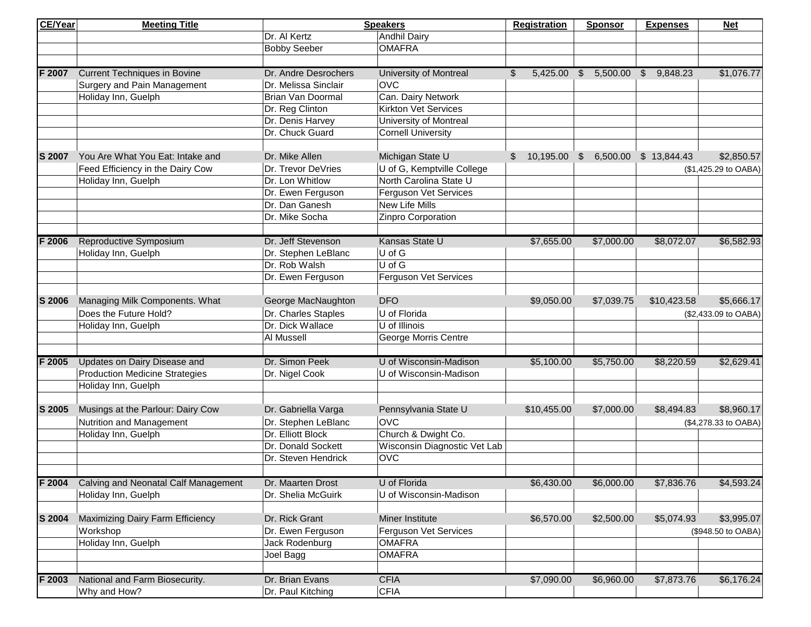| CE/Year | <b>Meeting Title</b>                  |                      | <b>Speakers</b>                  | <b>Registration</b>        | <b>Sponsor</b>            | <b>Expenses</b> | <b>Net</b>           |
|---------|---------------------------------------|----------------------|----------------------------------|----------------------------|---------------------------|-----------------|----------------------|
|         |                                       | Dr. Al Kertz         | Andhil Dairy                     |                            |                           |                 |                      |
|         |                                       | <b>Bobby Seeber</b>  | <b>OMAFRA</b>                    |                            |                           |                 |                      |
|         |                                       |                      |                                  |                            |                           |                 |                      |
| F 2007  | <b>Current Techniques in Bovine</b>   | Dr. Andre Desrochers | <b>University of Montreal</b>    | \$<br>5,425.00             | \$5,500.00                | \$9,848.23      | \$1,076.77           |
|         | Surgery and Pain Management           | Dr. Melissa Sinclair | <b>OVC</b>                       |                            |                           |                 |                      |
|         | Holiday Inn, Guelph                   | Brian Van Doormal    | Can. Dairy Network               |                            |                           |                 |                      |
|         |                                       | Dr. Reg Clinton      | <b>Kirkton Vet Services</b>      |                            |                           |                 |                      |
|         |                                       | Dr. Denis Harvey     | <b>University of Montreal</b>    |                            |                           |                 |                      |
|         |                                       | Dr. Chuck Guard      | <b>Cornell University</b>        |                            |                           |                 |                      |
|         |                                       |                      |                                  |                            |                           |                 |                      |
| S 2007  | You Are What You Eat: Intake and      | Dr. Mike Allen       | Michigan State U                 | $\mathcal{S}$<br>10,195.00 | $$6,500.00$$ \$ 13,844.43 |                 | \$2,850.57           |
|         | Feed Efficiency in the Dairy Cow      | Dr. Trevor DeVries   | U of G, Kemptville College       |                            |                           |                 | (\$1,425.29 to OABA) |
|         | Holiday Inn, Guelph                   | Dr. Lon Whitlow      | North Carolina State U           |                            |                           |                 |                      |
|         |                                       | Dr. Ewen Ferguson    | Ferguson Vet Services            |                            |                           |                 |                      |
|         |                                       | Dr. Dan Ganesh       | New Life Mills                   |                            |                           |                 |                      |
|         |                                       | Dr. Mike Socha       | Zinpro Corporation               |                            |                           |                 |                      |
| F 2006  | Reproductive Symposium                | Dr. Jeff Stevenson   | Kansas State U                   | \$7,655.00                 | \$7,000.00                | \$8,072.07      | \$6,582.93           |
|         | Holiday Inn, Guelph                   | Dr. Stephen LeBlanc  | U of G                           |                            |                           |                 |                      |
|         |                                       | Dr. Rob Walsh        | $\overline{U}$ of $\overline{G}$ |                            |                           |                 |                      |
|         |                                       | Dr. Ewen Ferguson    | Ferguson Vet Services            |                            |                           |                 |                      |
|         |                                       |                      |                                  |                            |                           |                 |                      |
| S 2006  | Managing Milk Components. What        | George MacNaughton   | <b>DFO</b>                       | \$9,050.00                 | \$7,039.75                | \$10,423.58     | \$5,666.17           |
|         | Does the Future Hold?                 | Dr. Charles Staples  | U of Florida                     |                            |                           |                 | (\$2,433.09 to OABA) |
|         | Holiday Inn, Guelph                   | Dr. Dick Wallace     | U of Illinois                    |                            |                           |                 |                      |
|         |                                       | Al Mussell           | George Morris Centre             |                            |                           |                 |                      |
| F 2005  | Updates on Dairy Disease and          | Dr. Simon Peek       | U of Wisconsin-Madison           | \$5,100.00                 | \$5,750.00                | \$8,220.59      | \$2,629.41           |
|         | <b>Production Medicine Strategies</b> | Dr. Nigel Cook       | U of Wisconsin-Madison           |                            |                           |                 |                      |
|         | Holiday Inn, Guelph                   |                      |                                  |                            |                           |                 |                      |
|         |                                       |                      |                                  |                            |                           |                 |                      |
| S 2005  | Musings at the Parlour: Dairy Cow     | Dr. Gabriella Varga  | Pennsylvania State U             | \$10,455.00                | \$7,000.00                | \$8,494.83      | \$8,960.17           |
|         | Nutrition and Management              | Dr. Stephen LeBlanc  | <b>OVC</b>                       |                            |                           |                 | (\$4,278.33 to OABA) |
|         | Holiday Inn, Guelph                   | Dr. Elliott Block    | Church & Dwight Co.              |                            |                           |                 |                      |
|         |                                       | Dr. Donald Sockett   | Wisconsin Diagnostic Vet Lab     |                            |                           |                 |                      |
|         |                                       | Dr. Steven Hendrick  | <b>OVC</b>                       |                            |                           |                 |                      |
|         |                                       |                      |                                  |                            |                           |                 |                      |
| F 2004  | Calving and Neonatal Calf Management  | Dr. Maarten Drost    | U of Florida                     | \$6,430.00                 | \$6,000.00                | \$7,836.76      | \$4,593.24           |
|         | Holiday Inn, Guelph                   | Dr. Shelia McGuirk   | U of Wisconsin-Madison           |                            |                           |                 |                      |
| S 2004  | Maximizing Dairy Farm Efficiency      | Dr. Rick Grant       | Miner Institute                  | \$6,570.00                 | \$2,500.00                | \$5,074.93      | \$3,995.07           |
|         | Workshop                              | Dr. Ewen Ferguson    | Ferguson Vet Services            |                            |                           |                 |                      |
|         | Holiday Inn, Guelph                   | Jack Rodenburg       | <b>OMAFRA</b>                    |                            |                           |                 | (\$948.50 to OABA)   |
|         |                                       |                      | <b>OMAFRA</b>                    |                            |                           |                 |                      |
|         |                                       | Joel Bagg            |                                  |                            |                           |                 |                      |
| F 2003  | National and Farm Biosecurity.        | Dr. Brian Evans      | <b>CFIA</b>                      | \$7,090.00                 | \$6,960.00                | \$7,873.76      | \$6,176.24           |
|         | Why and How?                          | Dr. Paul Kitching    | <b>CFIA</b>                      |                            |                           |                 |                      |
|         |                                       |                      |                                  |                            |                           |                 |                      |